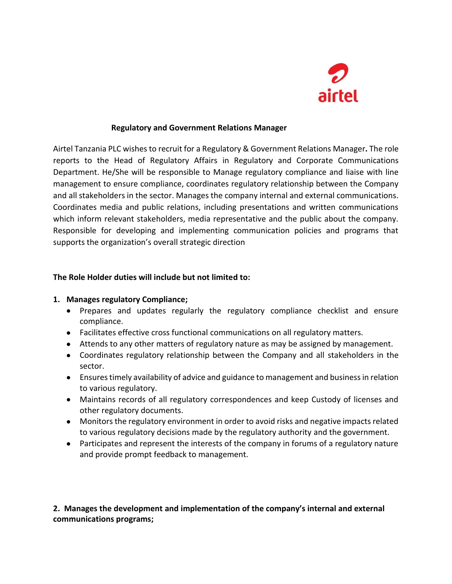

#### **Regulatory and Government Relations Manager**

Airtel Tanzania PLC wishes to recruit for a Regulatory & Government Relations Manager**.** The role reports to the Head of Regulatory Affairs in Regulatory and Corporate Communications Department. He/She will be responsible to Manage regulatory compliance and liaise with line management to ensure compliance, coordinates regulatory relationship between the Company and all stakeholders in the sector. Manages the company internal and external communications. Coordinates media and public relations, including presentations and written communications which inform relevant stakeholders, media representative and the public about the company. Responsible for developing and implementing communication policies and programs that supports the organization's overall strategic direction

#### **The Role Holder duties will include but not limited to:**

#### **1. Manages regulatory Compliance;**

- Prepares and updates regularly the regulatory compliance checklist and ensure compliance.
- Facilitates effective cross functional communications on all regulatory matters.
- Attends to any other matters of regulatory nature as may be assigned by management.
- Coordinates regulatory relationship between the Company and all stakeholders in the sector.
- Ensures timely availability of advice and guidance to management and business in relation to various regulatory.
- Maintains records of all regulatory correspondences and keep Custody of licenses and other regulatory documents.
- Monitors the regulatory environment in order to avoid risks and negative impacts related to various regulatory decisions made by the regulatory authority and the government.
- Participates and represent the interests of the company in forums of a regulatory nature and provide prompt feedback to management.

# **2. Manages the development and implementation of the company's internal and external communications programs;**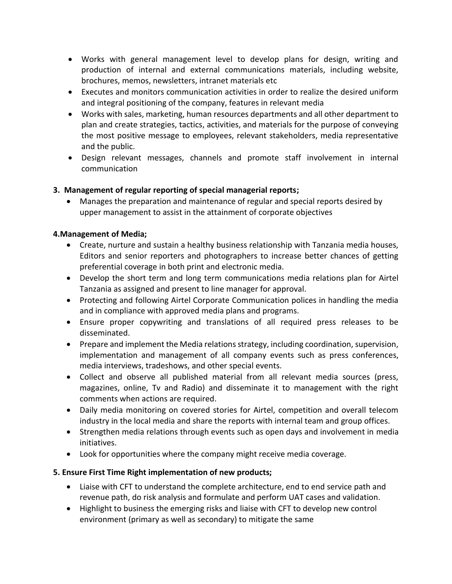- Works with general management level to develop plans for design, writing and production of internal and external communications materials, including website, brochures, memos, newsletters, intranet materials etc
- Executes and monitors communication activities in order to realize the desired uniform and integral positioning of the company, features in relevant media
- Works with sales, marketing, human resources departments and all other department to plan and create strategies, tactics, activities, and materials for the purpose of conveying the most positive message to employees, relevant stakeholders, media representative and the public.
- Design relevant messages, channels and promote staff involvement in internal communication

# **3. Management of regular reporting of special managerial reports;**

 Manages the preparation and maintenance of regular and special reports desired by upper management to assist in the attainment of corporate objectives

## **4.Management of Media;**

- Create, nurture and sustain a healthy business relationship with Tanzania media houses, Editors and senior reporters and photographers to increase better chances of getting preferential coverage in both print and electronic media.
- Develop the short term and long term communications media relations plan for Airtel Tanzania as assigned and present to line manager for approval.
- Protecting and following Airtel Corporate Communication polices in handling the media and in compliance with approved media plans and programs.
- Ensure proper copywriting and translations of all required press releases to be disseminated.
- Prepare and implement the Media relations strategy, including coordination, supervision, implementation and management of all company events such as press conferences, media interviews, tradeshows, and other special events.
- Collect and observe all published material from all relevant media sources (press, magazines, online, Tv and Radio) and disseminate it to management with the right comments when actions are required.
- Daily media monitoring on covered stories for Airtel, competition and overall telecom industry in the local media and share the reports with internal team and group offices.
- Strengthen media relations through events such as open days and involvement in media initiatives.
- Look for opportunities where the company might receive media coverage.

## **5. Ensure First Time Right implementation of new products;**

- Liaise with CFT to understand the complete architecture, end to end service path and revenue path, do risk analysis and formulate and perform UAT cases and validation.
- Highlight to business the emerging risks and liaise with CFT to develop new control environment (primary as well as secondary) to mitigate the same